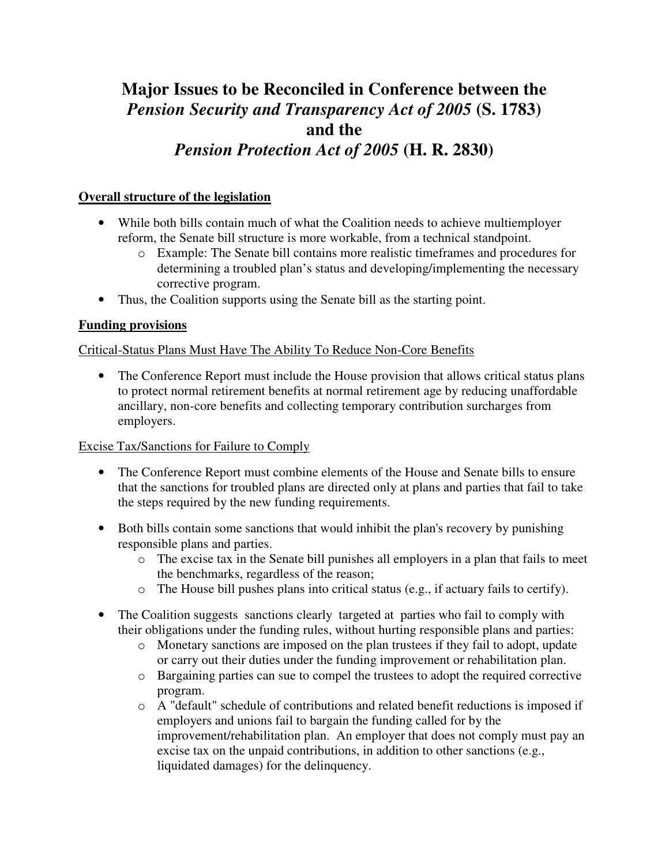# **Major Issues to be Reconciled in Conference between the**  *Pension Security and Transparency Act of 2005* **(S. 1783) and the**

# *Pension Protection Act of 2005* **(H. R. 2830)**

#### **Overall structure of the legislation**

- While both bills contain much of what the Coalition needs to achieve multiemployer reform, the Senate bill structure is more workable, from a technical standpoint.
	- o Example: The Senate bill contains more realistic timeframes and procedures for determining a troubled plan's status and developing/implementing the necessary corrective program.
- Thus, the Coalition supports using the Senate bill as the starting point.

#### **Funding provisions**

Critical-Status Plans Must Have The Ability To Reduce Non-Core Benefits

• The Conference Report must include the House provision that allows critical status plans to protect normal retirement benefits at normal retirement age by reducing unaffordable ancillary, non-core benefits and collecting temporary contribution surcharges from employers.

#### Excise Tax/Sanctions for Failure to Comply

- The Conference Report must combine elements of the House and Senate bills to ensure that the sanctions for troubled plans are directed only at plans and parties that fail to take the steps required by the new funding requirements.
- Both bills contain some sanctions that would inhibit the plan's recovery by punishing responsible plans and parties.
	- o The excise tax in the Senate bill punishes all employers in a plan that fails to meet the benchmarks, regardless of the reason;
	- o The House bill pushes plans into critical status (e.g., if actuary fails to certify).
- The Coalition suggests sanctions clearly targeted at parties who fail to comply with their obligations under the funding rules, without hurting responsible plans and parties:
	- o Monetary sanctions are imposed on the plan trustees if they fail to adopt, update or carry out their duties under the funding improvement or rehabilitation plan.
	- o Bargaining parties can sue to compel the trustees to adopt the required corrective program.
	- o A "default" schedule of contributions and related benefit reductions is imposed if employers and unions fail to bargain the funding called for by the improvement/rehabilitation plan. An employer that does not comply must pay an excise tax on the unpaid contributions, in addition to other sanctions (e.g., liquidated damages) for the delinquency.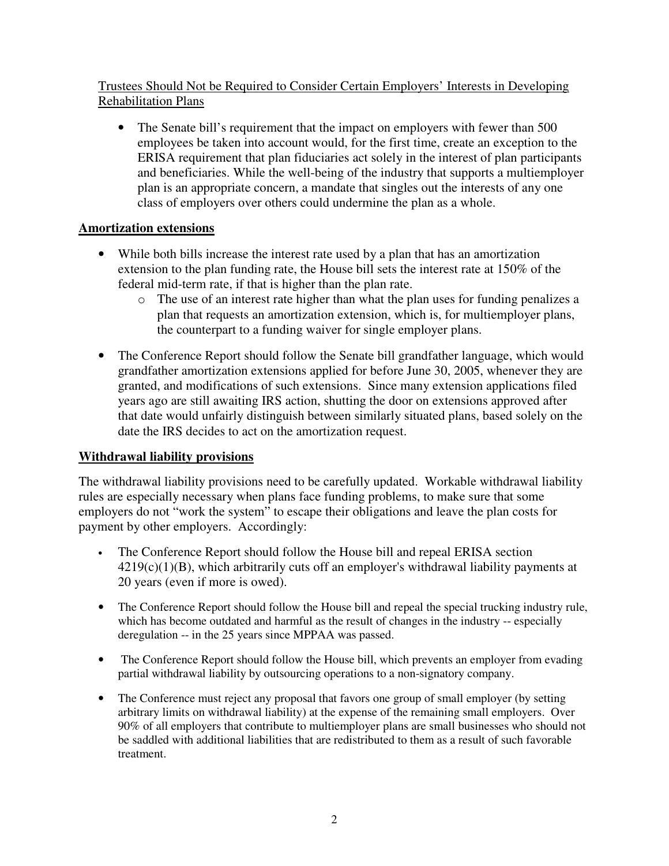## Trustees Should Not be Required to Consider Certain Employers' Interests in Developing Rehabilitation Plans

• The Senate bill's requirement that the impact on employers with fewer than 500 employees be taken into account would, for the first time, create an exception to the ERISA requirement that plan fiduciaries act solely in the interest of plan participants and beneficiaries. While the well-being of the industry that supports a multiemployer plan is an appropriate concern, a mandate that singles out the interests of any one class of employers over others could undermine the plan as a whole.

## **Amortization extensions**

- While both bills increase the interest rate used by a plan that has an amortization extension to the plan funding rate, the House bill sets the interest rate at 150% of the federal mid-term rate, if that is higher than the plan rate.
	- o The use of an interest rate higher than what the plan uses for funding penalizes a plan that requests an amortization extension, which is, for multiemployer plans, the counterpart to a funding waiver for single employer plans.
- The Conference Report should follow the Senate bill grandfather language, which would grandfather amortization extensions applied for before June 30, 2005, whenever they are granted, and modifications of such extensions. Since many extension applications filed years ago are still awaiting IRS action, shutting the door on extensions approved after that date would unfairly distinguish between similarly situated plans, based solely on the date the IRS decides to act on the amortization request.

# **Withdrawal liability provisions**

The withdrawal liability provisions need to be carefully updated. Workable withdrawal liability rules are especially necessary when plans face funding problems, to make sure that some employers do not "work the system" to escape their obligations and leave the plan costs for payment by other employers. Accordingly:

- The Conference Report should follow the House bill and repeal ERISA section  $4219(c)(1)(B)$ , which arbitrarily cuts off an employer's withdrawal liability payments at 20 years (even if more is owed).
- The Conference Report should follow the House bill and repeal the special trucking industry rule, which has become outdated and harmful as the result of changes in the industry -- especially deregulation -- in the 25 years since MPPAA was passed.
- The Conference Report should follow the House bill, which prevents an employer from evading partial withdrawal liability by outsourcing operations to a non-signatory company.
- The Conference must reject any proposal that favors one group of small employer (by setting arbitrary limits on withdrawal liability) at the expense of the remaining small employers. Over 90% of all employers that contribute to multiemployer plans are small businesses who should not be saddled with additional liabilities that are redistributed to them as a result of such favorable treatment.